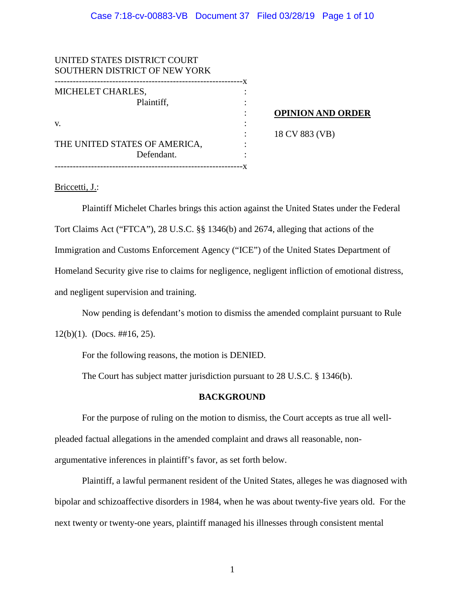| UNITED STATES DISTRICT COURT  |  |                          |
|-------------------------------|--|--------------------------|
| SOUTHERN DISTRICT OF NEW YORK |  |                          |
|                               |  |                          |
| MICHELET CHARLES,             |  |                          |
| Plaintiff,                    |  |                          |
|                               |  | <b>OPINION AND ORDER</b> |
| V.                            |  |                          |
|                               |  | 18 CV 883 (VB)           |
| THE UNITED STATES OF AMERICA, |  |                          |
| Defendant.                    |  |                          |
|                               |  |                          |
|                               |  |                          |

## Briccetti, J.:

Plaintiff Michelet Charles brings this action against the United States under the Federal Tort Claims Act ("FTCA"), 28 U.S.C. §§ 1346(b) and 2674, alleging that actions of the Immigration and Customs Enforcement Agency ("ICE") of the United States Department of Homeland Security give rise to claims for negligence, negligent infliction of emotional distress, and negligent supervision and training.

Now pending is defendant's motion to dismiss the amended complaint pursuant to Rule

12(b)(1). (Docs.  $\#16$ , 25).

For the following reasons, the motion is DENIED.

The Court has subject matter jurisdiction pursuant to 28 U.S.C. § 1346(b).

### **BACKGROUND**

For the purpose of ruling on the motion to dismiss, the Court accepts as true all wellpleaded factual allegations in the amended complaint and draws all reasonable, nonargumentative inferences in plaintiff's favor, as set forth below.

Plaintiff, a lawful permanent resident of the United States, alleges he was diagnosed with bipolar and schizoaffective disorders in 1984, when he was about twenty-five years old. For the next twenty or twenty-one years, plaintiff managed his illnesses through consistent mental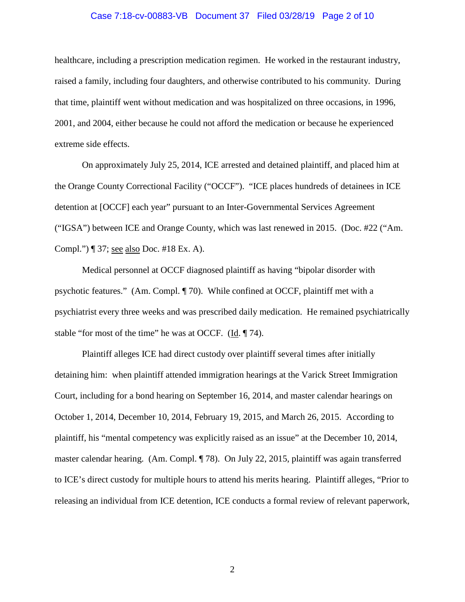### Case 7:18-cv-00883-VB Document 37 Filed 03/28/19 Page 2 of 10

healthcare, including a prescription medication regimen. He worked in the restaurant industry, raised a family, including four daughters, and otherwise contributed to his community. During that time, plaintiff went without medication and was hospitalized on three occasions, in 1996, 2001, and 2004, either because he could not afford the medication or because he experienced extreme side effects.

On approximately July 25, 2014, ICE arrested and detained plaintiff, and placed him at the Orange County Correctional Facility ("OCCF"). "ICE places hundreds of detainees in ICE detention at [OCCF] each year" pursuant to an Inter-Governmental Services Agreement ("IGSA") between ICE and Orange County, which was last renewed in 2015. (Doc. #22 ("Am. Compl.") ¶ 37; see also Doc. #18 Ex. A).

Medical personnel at OCCF diagnosed plaintiff as having "bipolar disorder with psychotic features." (Am. Compl. ¶ 70). While confined at OCCF, plaintiff met with a psychiatrist every three weeks and was prescribed daily medication. He remained psychiatrically stable "for most of the time" he was at OCCF. (Id. ¶ 74).

Plaintiff alleges ICE had direct custody over plaintiff several times after initially detaining him: when plaintiff attended immigration hearings at the Varick Street Immigration Court, including for a bond hearing on September 16, 2014, and master calendar hearings on October 1, 2014, December 10, 2014, February 19, 2015, and March 26, 2015. According to plaintiff, his "mental competency was explicitly raised as an issue" at the December 10, 2014, master calendar hearing. (Am. Compl. ¶ 78). On July 22, 2015, plaintiff was again transferred to ICE's direct custody for multiple hours to attend his merits hearing. Plaintiff alleges, "Prior to releasing an individual from ICE detention, ICE conducts a formal review of relevant paperwork,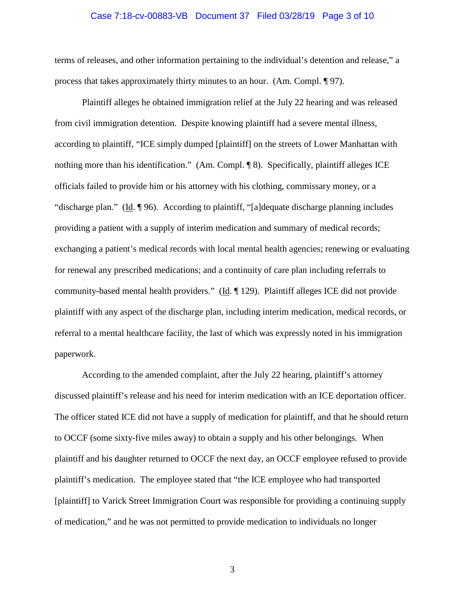### Case 7:18-cv-00883-VB Document 37 Filed 03/28/19 Page 3 of 10

terms of releases, and other information pertaining to the individual's detention and release," a process that takes approximately thirty minutes to an hour. (Am. Compl. ¶ 97).

Plaintiff alleges he obtained immigration relief at the July 22 hearing and was released from civil immigration detention. Despite knowing plaintiff had a severe mental illness, according to plaintiff, "ICE simply dumped [plaintiff] on the streets of Lower Manhattan with nothing more than his identification." (Am. Compl. ¶ 8). Specifically, plaintiff alleges ICE officials failed to provide him or his attorney with his clothing, commissary money, or a "discharge plan." (Id. ¶ 96). According to plaintiff, "[a]dequate discharge planning includes providing a patient with a supply of interim medication and summary of medical records; exchanging a patient's medical records with local mental health agencies; renewing or evaluating for renewal any prescribed medications; and a continuity of care plan including referrals to community-based mental health providers." (Id. 129). Plaintiff alleges ICE did not provide plaintiff with any aspect of the discharge plan, including interim medication, medical records, or referral to a mental healthcare facility, the last of which was expressly noted in his immigration paperwork.

According to the amended complaint, after the July 22 hearing, plaintiff's attorney discussed plaintiff's release and his need for interim medication with an ICE deportation officer. The officer stated ICE did not have a supply of medication for plaintiff, and that he should return to OCCF (some sixty-five miles away) to obtain a supply and his other belongings. When plaintiff and his daughter returned to OCCF the next day, an OCCF employee refused to provide plaintiff's medication. The employee stated that "the ICE employee who had transported [plaintiff] to Varick Street Immigration Court was responsible for providing a continuing supply of medication," and he was not permitted to provide medication to individuals no longer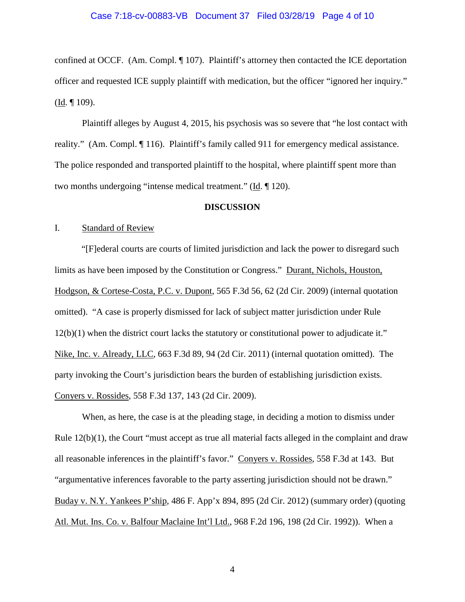confined at OCCF. (Am. Compl. ¶ 107). Plaintiff's attorney then contacted the ICE deportation officer and requested ICE supply plaintiff with medication, but the officer "ignored her inquiry." (Id. ¶ 109).

Plaintiff alleges by August 4, 2015, his psychosis was so severe that "he lost contact with reality." (Am. Compl. ¶ 116). Plaintiff's family called 911 for emergency medical assistance. The police responded and transported plaintiff to the hospital, where plaintiff spent more than two months undergoing "intense medical treatment." (Id. ¶ 120).

### **DISCUSSION**

### I. Standard of Review

"[F]ederal courts are courts of limited jurisdiction and lack the power to disregard such limits as have been imposed by the Constitution or Congress." Durant, Nichols, Houston, Hodgson, & Cortese-Costa, P.C. v. Dupont, 565 F.3d 56, 62 (2d Cir. 2009) (internal quotation omitted). "A case is properly dismissed for lack of subject matter jurisdiction under Rule 12(b)(1) when the district court lacks the statutory or constitutional power to adjudicate it." Nike, Inc. v. Already, LLC, 663 F.3d 89, 94 (2d Cir. 2011) (internal quotation omitted). The party invoking the Court's jurisdiction bears the burden of establishing jurisdiction exists. Conyers v. Rossides, 558 F.3d 137, 143 (2d Cir. 2009).

When, as here, the case is at the pleading stage, in deciding a motion to dismiss under Rule  $12(b)(1)$ , the Court "must accept as true all material facts alleged in the complaint and draw all reasonable inferences in the plaintiff's favor." Conyers v. Rossides, 558 F.3d at 143. But "argumentative inferences favorable to the party asserting jurisdiction should not be drawn." Buday v. N.Y. Yankees P'ship, 486 F. App'x 894, 895 (2d Cir. 2012) (summary order) (quoting Atl. Mut. Ins. Co. v. Balfour Maclaine Int'l Ltd., 968 F.2d 196, 198 (2d Cir. 1992)). When a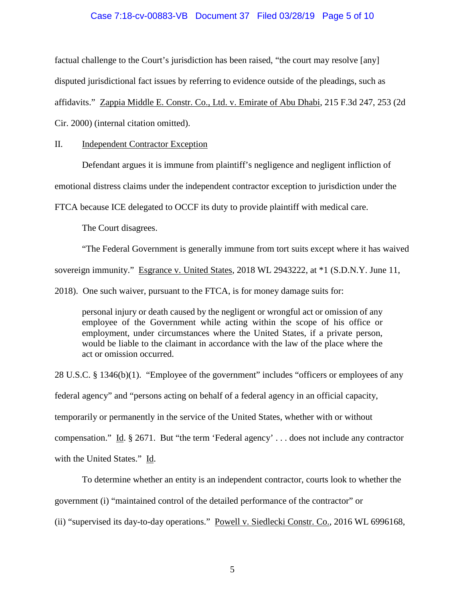### Case 7:18-cv-00883-VB Document 37 Filed 03/28/19 Page 5 of 10

factual challenge to the Court's jurisdiction has been raised, "the court may resolve [any] disputed jurisdictional fact issues by referring to evidence outside of the pleadings, such as affidavits." Zappia Middle E. Constr. Co., Ltd. v. Emirate of Abu Dhabi, 215 F.3d 247, 253 (2d Cir. 2000) (internal citation omitted).

II. Independent Contractor Exception

Defendant argues it is immune from plaintiff's negligence and negligent infliction of

emotional distress claims under the independent contractor exception to jurisdiction under the

FTCA because ICE delegated to OCCF its duty to provide plaintiff with medical care.

The Court disagrees.

"The Federal Government is generally immune from tort suits except where it has waived sovereign immunity." Esgrance v. United States, 2018 WL 2943222, at \*1 (S.D.N.Y. June 11,

2018). One such waiver, pursuant to the FTCA, is for money damage suits for:

personal injury or death caused by the negligent or wrongful act or omission of any employee of the Government while acting within the scope of his office or employment, under circumstances where the United States, if a private person, would be liable to the claimant in accordance with the law of the place where the act or omission occurred.

28 U.S.C. § 1346(b)(1). "Employee of the government" includes "officers or employees of any federal agency" and "persons acting on behalf of a federal agency in an official capacity, temporarily or permanently in the service of the United States, whether with or without compensation." Id. § 2671. But "the term 'Federal agency' . . . does not include any contractor with the United States." Id.

To determine whether an entity is an independent contractor, courts look to whether the government (i) "maintained control of the detailed performance of the contractor" or

(ii) "supervised its day-to-day operations." Powell v. Siedlecki Constr. Co., 2016 WL 6996168,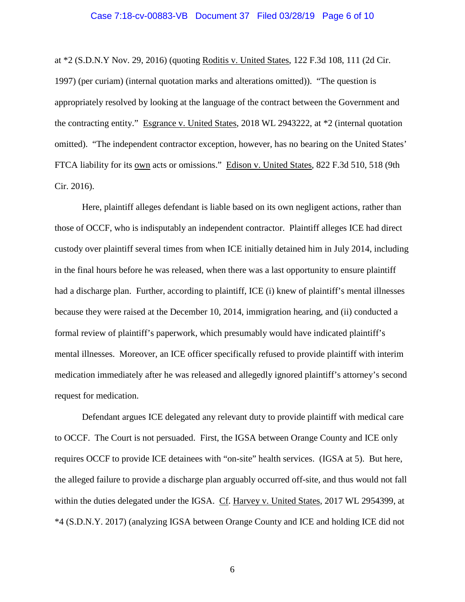# Case 7:18-cv-00883-VB Document 37 Filed 03/28/19 Page 6 of 10

at \*2 (S.D.N.Y Nov. 29, 2016) (quoting Roditis v. United States, 122 F.3d 108, 111 (2d Cir. 1997) (per curiam) (internal quotation marks and alterations omitted)). "The question is appropriately resolved by looking at the language of the contract between the Government and the contracting entity." Esgrance v. United States, 2018 WL 2943222, at \*2 (internal quotation omitted). "The independent contractor exception, however, has no bearing on the United States' FTCA liability for its own acts or omissions." Edison v. United States, 822 F.3d 510, 518 (9th Cir. 2016).

Here, plaintiff alleges defendant is liable based on its own negligent actions, rather than those of OCCF, who is indisputably an independent contractor. Plaintiff alleges ICE had direct custody over plaintiff several times from when ICE initially detained him in July 2014, including in the final hours before he was released, when there was a last opportunity to ensure plaintiff had a discharge plan. Further, according to plaintiff, ICE (i) knew of plaintiff's mental illnesses because they were raised at the December 10, 2014, immigration hearing, and (ii) conducted a formal review of plaintiff's paperwork, which presumably would have indicated plaintiff's mental illnesses. Moreover, an ICE officer specifically refused to provide plaintiff with interim medication immediately after he was released and allegedly ignored plaintiff's attorney's second request for medication.

Defendant argues ICE delegated any relevant duty to provide plaintiff with medical care to OCCF. The Court is not persuaded. First, the IGSA between Orange County and ICE only requires OCCF to provide ICE detainees with "on-site" health services. (IGSA at 5). But here, the alleged failure to provide a discharge plan arguably occurred off-site, and thus would not fall within the duties delegated under the IGSA. Cf. Harvey v. United States, 2017 WL 2954399, at \*4 (S.D.N.Y. 2017) (analyzing IGSA between Orange County and ICE and holding ICE did not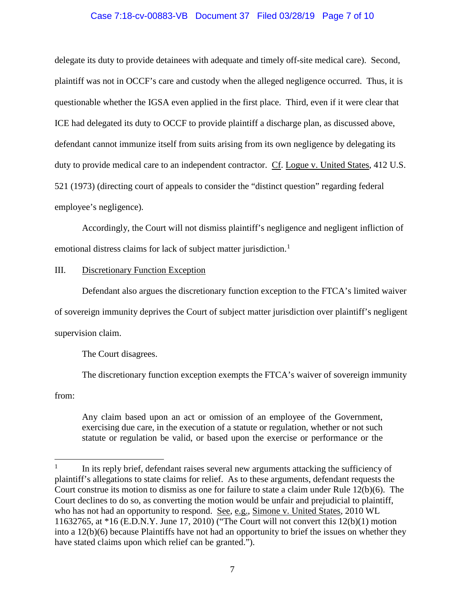## Case 7:18-cv-00883-VB Document 37 Filed 03/28/19 Page 7 of 10

delegate its duty to provide detainees with adequate and timely off-site medical care). Second, plaintiff was not in OCCF's care and custody when the alleged negligence occurred. Thus, it is questionable whether the IGSA even applied in the first place. Third, even if it were clear that ICE had delegated its duty to OCCF to provide plaintiff a discharge plan, as discussed above, defendant cannot immunize itself from suits arising from its own negligence by delegating its duty to provide medical care to an independent contractor. Cf. Logue v. United States, 412 U.S. 521 (1973) (directing court of appeals to consider the "distinct question" regarding federal employee's negligence).

Accordingly, the Court will not dismiss plaintiff's negligence and negligent infliction of emotional distress claims for lack of subject matter jurisdiction.<sup>[1](#page-6-0)</sup>

### III. Discretionary Function Exception

Defendant also argues the discretionary function exception to the FTCA's limited waiver of sovereign immunity deprives the Court of subject matter jurisdiction over plaintiff's negligent supervision claim.

The Court disagrees.

The discretionary function exception exempts the FTCA's waiver of sovereign immunity

from:

Any claim based upon an act or omission of an employee of the Government, exercising due care, in the execution of a statute or regulation, whether or not such statute or regulation be valid, or based upon the exercise or performance or the

<span id="page-6-0"></span> $1$  In its reply brief, defendant raises several new arguments attacking the sufficiency of plaintiff's allegations to state claims for relief. As to these arguments, defendant requests the Court construe its motion to dismiss as one for failure to state a claim under Rule 12(b)(6). The Court declines to do so, as converting the motion would be unfair and prejudicial to plaintiff, who has not had an opportunity to respond. See, e.g., Simone v. United States, 2010 WL 11632765, at \*16 (E.D.N.Y. June 17, 2010) ("The Court will not convert this 12(b)(1) motion into a 12(b)(6) because Plaintiffs have not had an opportunity to brief the issues on whether they have stated claims upon which relief can be granted.").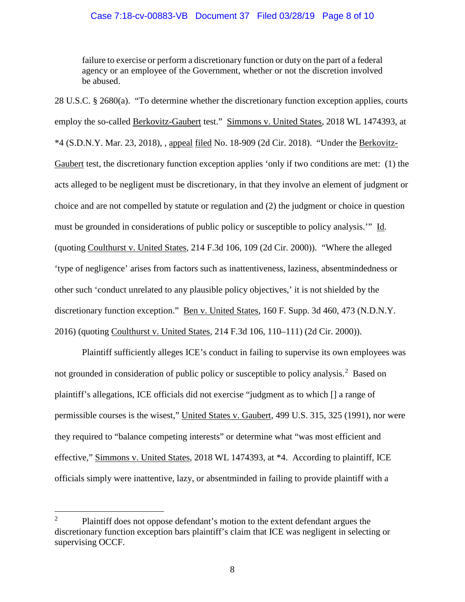## Case 7:18-cv-00883-VB Document 37 Filed 03/28/19 Page 8 of 10

failure to exercise or perform a discretionary function or duty on the part of a federal agency or an employee of the Government, whether or not the discretion involved be abused.

28 U.S.C. § 2680(a). "To determine whether the discretionary function exception applies, courts employ the so-called Berkovitz-Gaubert test." Simmons v. United States, 2018 WL 1474393, at \*4 (S.D.N.Y. Mar. 23, 2018), , appeal filed No. 18-909 (2d Cir. 2018). "Under the Berkovitz-Gaubert test, the discretionary function exception applies 'only if two conditions are met: (1) the acts alleged to be negligent must be discretionary, in that they involve an element of judgment or choice and are not compelled by statute or regulation and (2) the judgment or choice in question must be grounded in considerations of public policy or susceptible to policy analysis.'" Id. (quoting Coulthurst v. United States, 214 F.3d 106, 109 (2d Cir. 2000)). "Where the alleged 'type of negligence' arises from factors such as inattentiveness, laziness, absentmindedness or other such 'conduct unrelated to any plausible policy objectives,' it is not shielded by the discretionary function exception." Ben v. United States, 160 F. Supp. 3d 460, 473 (N.D.N.Y. 2016) (quoting Coulthurst v. United States, 214 F.3d 106, 110–111) (2d Cir. 2000)).

Plaintiff sufficiently alleges ICE's conduct in failing to supervise its own employees was not grounded in consideration of public policy or susceptible to policy analysis.<sup>[2](#page-7-0)</sup> Based on plaintiff's allegations, ICE officials did not exercise "judgment as to which [] a range of permissible courses is the wisest," United States v. Gaubert, 499 U.S. 315, 325 (1991), nor were they required to "balance competing interests" or determine what "was most efficient and effective," Simmons v. United States, 2018 WL 1474393, at \*4. According to plaintiff, ICE officials simply were inattentive, lazy, or absentminded in failing to provide plaintiff with a

<span id="page-7-0"></span><sup>&</sup>lt;sup>2</sup> Plaintiff does not oppose defendant's motion to the extent defendant argues the discretionary function exception bars plaintiff's claim that ICE was negligent in selecting or supervising OCCF.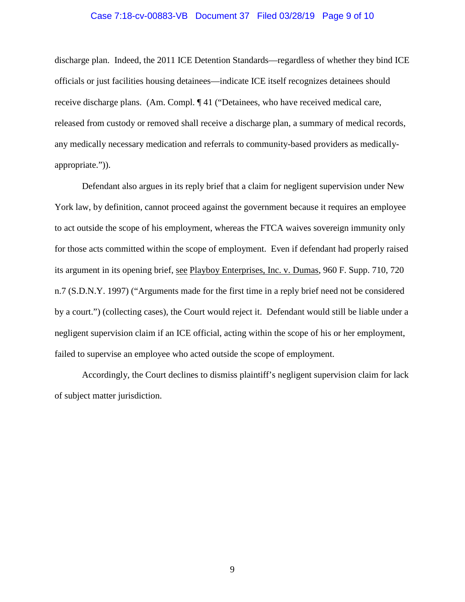# Case 7:18-cv-00883-VB Document 37 Filed 03/28/19 Page 9 of 10

discharge plan. Indeed, the 2011 ICE Detention Standards—regardless of whether they bind ICE officials or just facilities housing detainees—indicate ICE itself recognizes detainees should receive discharge plans. (Am. Compl. ¶ 41 ("Detainees, who have received medical care, released from custody or removed shall receive a discharge plan, a summary of medical records, any medically necessary medication and referrals to community-based providers as medicallyappropriate.")).

Defendant also argues in its reply brief that a claim for negligent supervision under New York law, by definition, cannot proceed against the government because it requires an employee to act outside the scope of his employment, whereas the FTCA waives sovereign immunity only for those acts committed within the scope of employment. Even if defendant had properly raised its argument in its opening brief, see Playboy Enterprises, Inc. v. Dumas, 960 F. Supp. 710, 720 n.7 (S.D.N.Y. 1997) ("Arguments made for the first time in a reply brief need not be considered by a court.") (collecting cases), the Court would reject it. Defendant would still be liable under a negligent supervision claim if an ICE official, acting within the scope of his or her employment, failed to supervise an employee who acted outside the scope of employment.

Accordingly, the Court declines to dismiss plaintiff's negligent supervision claim for lack of subject matter jurisdiction.